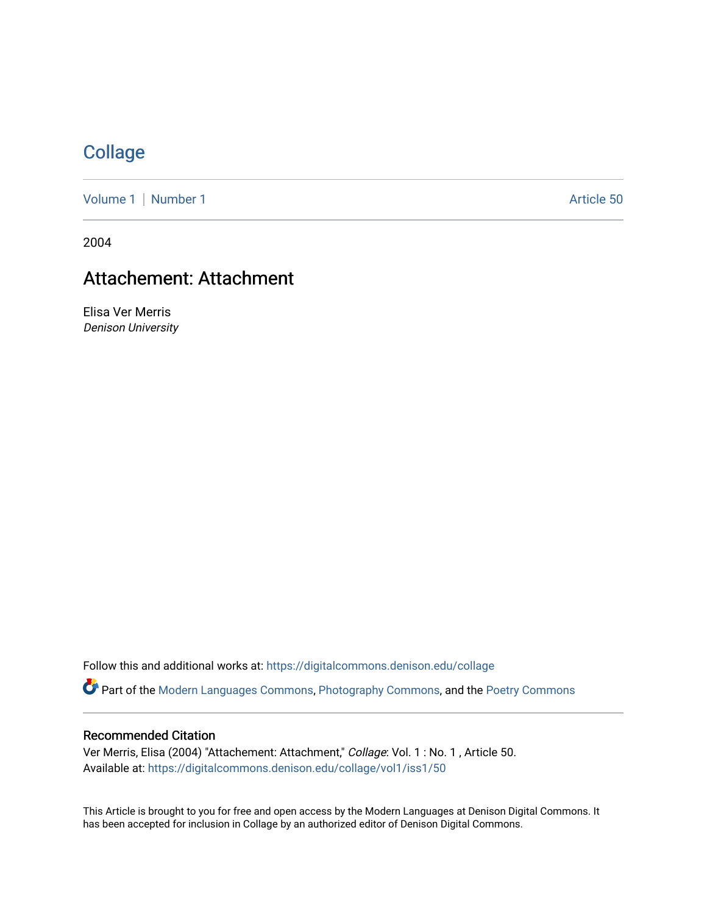## **[Collage](https://digitalcommons.denison.edu/collage)**

[Volume 1](https://digitalcommons.denison.edu/collage/vol1) | [Number 1](https://digitalcommons.denison.edu/collage/vol1/iss1) Article 50

2004

# Attachement: Attachment

Elisa Ver Merris Denison University

Follow this and additional works at: [https://digitalcommons.denison.edu/collage](https://digitalcommons.denison.edu/collage?utm_source=digitalcommons.denison.edu%2Fcollage%2Fvol1%2Fiss1%2F50&utm_medium=PDF&utm_campaign=PDFCoverPages)  Part of the [Modern Languages Commons,](http://network.bepress.com/hgg/discipline/1130?utm_source=digitalcommons.denison.edu%2Fcollage%2Fvol1%2Fiss1%2F50&utm_medium=PDF&utm_campaign=PDFCoverPages) [Photography Commons](http://network.bepress.com/hgg/discipline/1142?utm_source=digitalcommons.denison.edu%2Fcollage%2Fvol1%2Fiss1%2F50&utm_medium=PDF&utm_campaign=PDFCoverPages), and the [Poetry Commons](http://network.bepress.com/hgg/discipline/1153?utm_source=digitalcommons.denison.edu%2Fcollage%2Fvol1%2Fiss1%2F50&utm_medium=PDF&utm_campaign=PDFCoverPages)

#### Recommended Citation

Ver Merris, Elisa (2004) "Attachement: Attachment," Collage: Vol. 1 : No. 1 , Article 50. Available at: [https://digitalcommons.denison.edu/collage/vol1/iss1/50](https://digitalcommons.denison.edu/collage/vol1/iss1/50?utm_source=digitalcommons.denison.edu%2Fcollage%2Fvol1%2Fiss1%2F50&utm_medium=PDF&utm_campaign=PDFCoverPages)

This Article is brought to you for free and open access by the Modern Languages at Denison Digital Commons. It has been accepted for inclusion in Collage by an authorized editor of Denison Digital Commons.